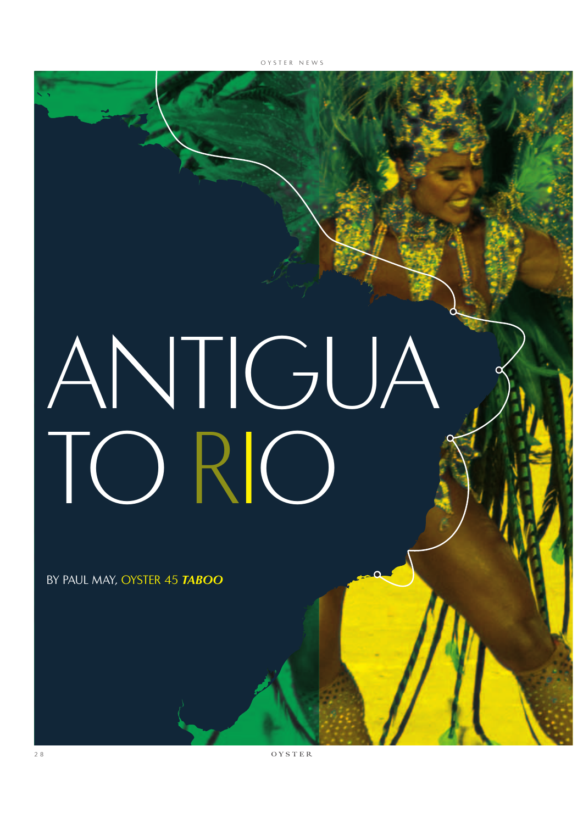## ANTIGUA TO RIO

BY PAUL MAY, OYSTER 45 *TABOO*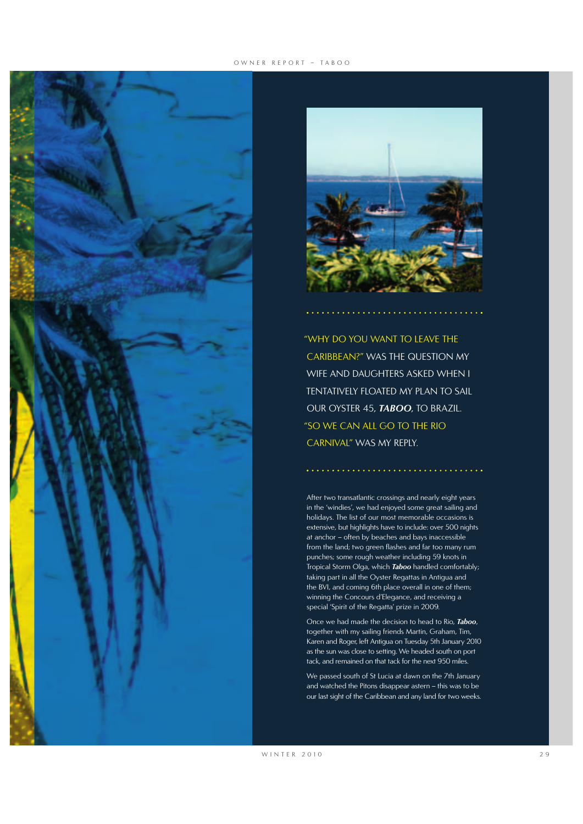## OWNER REPORT – TABOO





"WHY DO YOU WANT TO LEAVE THE CARIBBEAN?" WAS THE QUESTION MY WIFE AND DAUGHTERS ASKED WHEN I TENTATIVELY FLOATED MY PLAN TO SAIL OUR OYSTER 45, *TABOO*, TO BRAZIL. "SO WE CAN ALL GO TO THE RIO CARNIVAL" WAS MY REPLY.

After two transatlantic crossings and nearly eight years in the 'windies', we had enjoyed some great sailing and holidays. The list of our most memorable occasions is extensive, but highlights have to include: over 500 nights at anchor - often by beaches and bays inaccessible from the land; two green flashes and far too many rum punches; some rough weather including 59 knots in Tropical Storm Olga, which *Taboo* handled comfortably; taking part in all the Oyster Regattas in Antigua and the BVI, and coming 6th place overall in one of them; winning the Concours d'Elegance, and receiving a special 'Spirit of the Regatta' prize in 2009.

Once we had made the decision to head to Rio, *Taboo*, together with my sailing friends Martin, Graham, Tim, Karen and Roger, left Antigua on Tuesday 5th January 2010 as the sun was close to setting. We headed south on port tack, and remained on that tack for the next 950 miles.

We passed south of St Lucia at dawn on the 7th January and watched the Pitons disappear astern – this was to be our last sight of the Caribbean and any land for two weeks.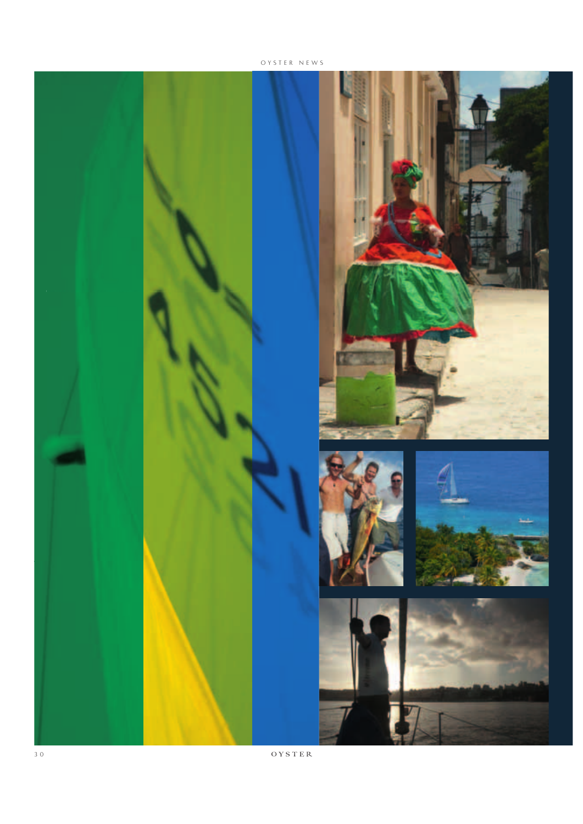



OYSTER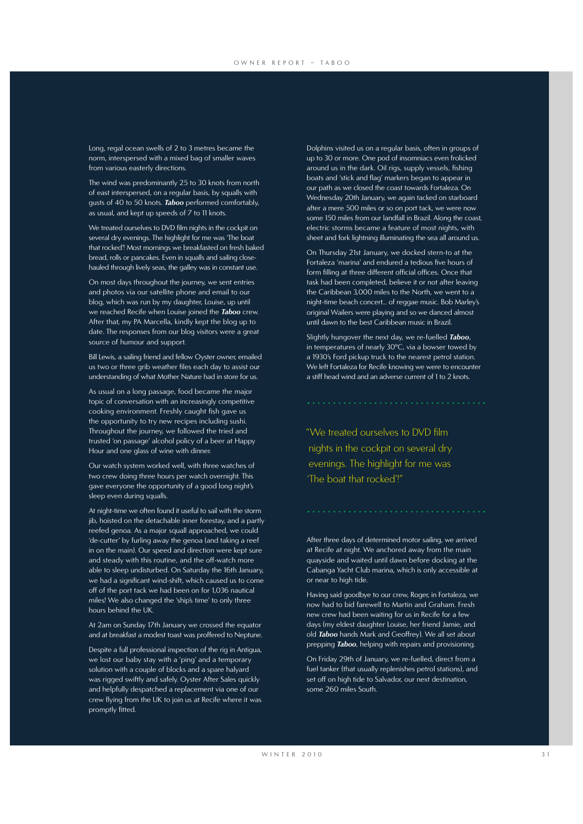Long, regal ocean swells of 2 to 3 metres became the norm, interspersed with a mixed bag of smaller waves from various easterly directions.

The wind was predominantly 25 to 30 knots from north of east interspersed, on a regular basis, by squalls with gusts of 40 to 50 knots. *Taboo* performed comfortably, as usual, and kept up speeds of 7 to 11 knots.

We treated ourselves to DVD film nights in the cockpit on several dry evenings. The highlight for me was 'The boat that rocked'! Most mornings we breakfasted on fresh baked bread, rolls or pancakes. Even in squalls and sailing closehauled through lively seas, the galley was in constant use.

On most days throughout the journey, we sent entries and photos via our satellite phone and email to our blog, which was run by my daughter, Louise, up until we reached Recife when Louise joined the *Taboo* crew. After that, my PA Marcella, kindly kept the blog up to date. The responses from our blog visitors were a great source of humour and support.

Bill Lewis, a sailing friend and fellow Oyster owner, emailed us two or three grib weather files each day to assist our understanding of what Mother Nature had in store for us.

As usual on a long passage, food became the major topic of conversation with an increasingly competitive cooking environment. Freshly caught fish gave us the opportunity to try new recipes including sushi. Throughout the journey, we followed the tried and trusted 'on passage' alcohol policy of a beer at Happy Hour and one glass of wine with dinner.

Our watch system worked well, with three watches of two crew doing three hours per watch overnight. This gave everyone the opportunity of a good long night's sleep even during squalls.

At night-time we often found it useful to sail with the storm jib, hoisted on the detachable inner forestay, and a partly reefed genoa. As a major squall approached, we could 'de-cutter' by furling away the genoa (and taking a reef in on the main). Our speed and direction were kept sure and steady with this routine, and the off-watch more able to sleep undisturbed. On Saturday the 16th January, we had a significant wind-shift, which caused us to come off of the port tack we had been on for 1,036 nautical miles! We also changed the 'ship's time' to only three hours behind the UK.

At 2am on Sunday 17th January we crossed the equator and at breakfast a modest toast was proffered to Neptune.

Despite a full professional inspection of the rig in Antigua, we lost our baby stay with a 'ping' and a temporary solution with a couple of blocks and a spare halyard was rigged swiftly and safely. Oyster After Sales quickly and helpfully despatched a replacement via one of our crew flying from the UK to join us at Recife where it was promptly fitted

Dolphins visited us on a regular basis, often in groups of up to 30 or more. One pod of insomniacs even frolicked around us in the dark. Oil rigs, supply vessels, fishing boats and 'stick and flag' markers began to appear in our path as we closed the coast towards Fortaleza. On Wednesday 20th January, we again tacked on starboard after a mere 500 miles or so on port tack, we were now some 150 miles from our landfall in Brazil. Along the coast, electric storms became a feature of most nights, with sheet and fork lightning illuminating the sea all around us.

On Thursday 21st January, we docked stern-to at the Fortaleza 'marina' and endured a tedious five hours of form filling at three different official offices. Once that task had been completed, believe it or not after leaving the Caribbean 3,000 miles to the North, we went to a night-time beach concert... of reggae music. Bob Marley's original Wailers were playing and so we danced almost until dawn to the best Caribbean music in Brazil.

Slightly hungover the next day, we re-fuelled *Taboo*, in temperatures of nearly 30ºC, via a bowser towed by a 1930's Ford pickup truck to the nearest petrol station. We left Fortaleza for Recife knowing we were to encounter a stiff head wind and an adverse current of 1 to 2 knots.

"We treated ourselves to DVD film nights in the cockpit on several dry evenings. The highlight for me was 'The boat that rocked'!"

After three days of determined motor sailing, we arrived at Recife at night. We anchored away from the main quayside and waited until dawn before docking at the Cabanga Yacht Club marina, which is only accessible at or near to high tide.

Having said goodbye to our crew, Roger, in Fortaleza, we now had to bid farewell to Martin and Graham. Fresh new crew had been waiting for us in Recife for a few days (my eldest daughter Louise, her friend Jamie, and old **Taboo** hands Mark and Geoffrey). We all set about prepping *Taboo*, helping with repairs and provisioning.

On Friday 29th of January, we re-fuelled, direct from a fuel tanker (that usually replenishes petrol stations), and set off on high tide to Salvador, our next destination, some 260 miles South.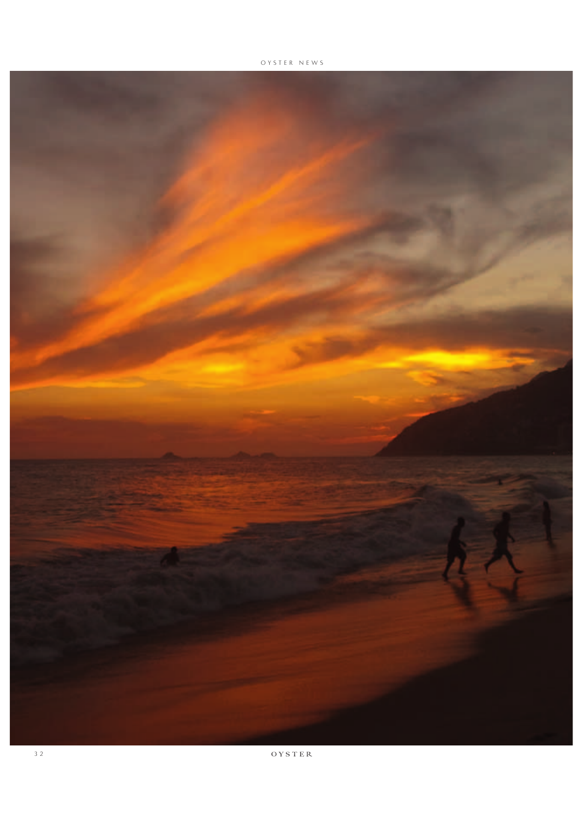